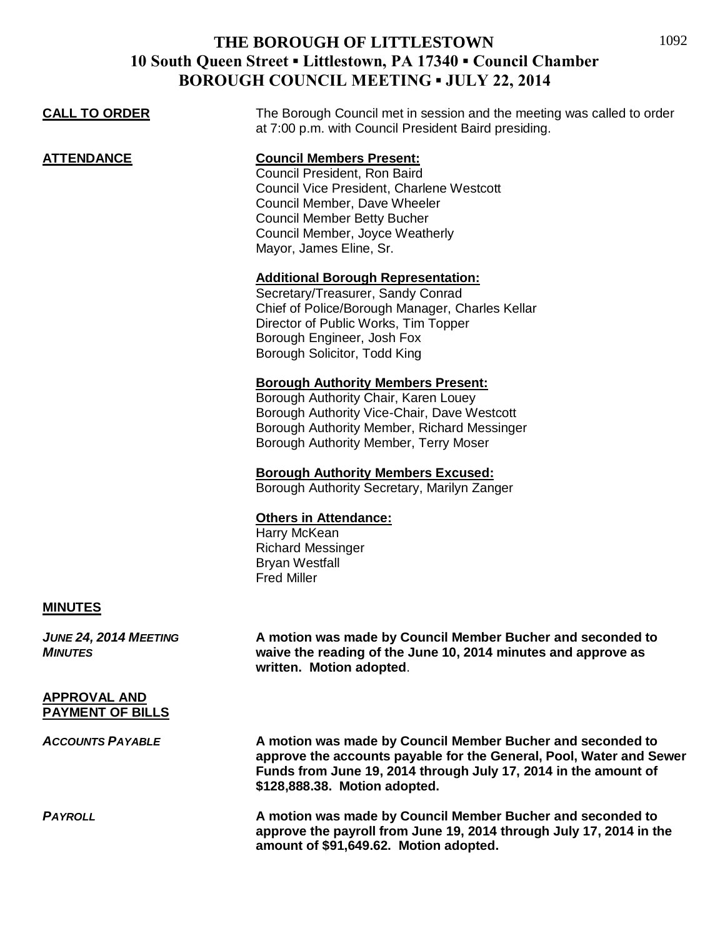| <b>CALL TO ORDER</b>                           | The Borough Council met in session and the meeting was called to order<br>at 7:00 p.m. with Council President Baird presiding.                                                                                                                   |
|------------------------------------------------|--------------------------------------------------------------------------------------------------------------------------------------------------------------------------------------------------------------------------------------------------|
| <b>ATTENDANCE</b>                              | <b>Council Members Present:</b><br>Council President, Ron Baird<br>Council Vice President, Charlene Westcott<br>Council Member, Dave Wheeler<br><b>Council Member Betty Bucher</b><br>Council Member, Joyce Weatherly<br>Mayor, James Eline, Sr. |
|                                                | <b>Additional Borough Representation:</b><br>Secretary/Treasurer, Sandy Conrad<br>Chief of Police/Borough Manager, Charles Kellar<br>Director of Public Works, Tim Topper<br>Borough Engineer, Josh Fox<br>Borough Solicitor, Todd King          |
|                                                | <b>Borough Authority Members Present:</b><br>Borough Authority Chair, Karen Louey<br>Borough Authority Vice-Chair, Dave Westcott<br>Borough Authority Member, Richard Messinger<br>Borough Authority Member, Terry Moser                         |
|                                                | <b>Borough Authority Members Excused:</b><br>Borough Authority Secretary, Marilyn Zanger                                                                                                                                                         |
|                                                | <b>Others in Attendance:</b><br>Harry McKean<br><b>Richard Messinger</b><br><b>Bryan Westfall</b><br><b>Fred Miller</b>                                                                                                                          |
| <b>MINUTES</b>                                 |                                                                                                                                                                                                                                                  |
| JUNE 24, 2014 MEETING<br><b>MINUTES</b>        | A motion was made by Council Member Bucher and seconded to<br>waive the reading of the June 10, 2014 minutes and approve as<br>written. Motion adopted.                                                                                          |
| <b>APPROVAL AND</b><br><b>PAYMENT OF BILLS</b> |                                                                                                                                                                                                                                                  |
| <b>ACCOUNTS PAYABLE</b>                        | A motion was made by Council Member Bucher and seconded to<br>approve the accounts payable for the General, Pool, Water and Sewer<br>Funds from June 19, 2014 through July 17, 2014 in the amount of<br>\$128,888.38. Motion adopted.            |
| <b>PAYROLL</b>                                 | A motion was made by Council Member Bucher and seconded to<br>approve the payroll from June 19, 2014 through July 17, 2014 in the<br>amount of \$91,649.62. Motion adopted.                                                                      |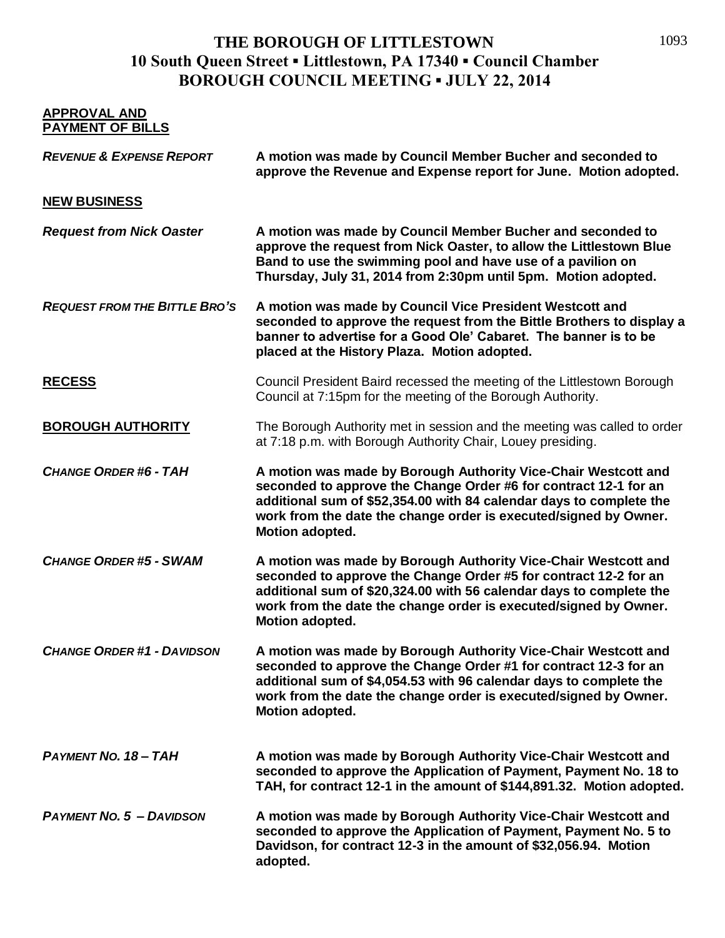| <b>APPROVAL AND</b><br><b>PAYMENT OF BILLS</b> |                                                                                                                                                                                                                                                                                                  |
|------------------------------------------------|--------------------------------------------------------------------------------------------------------------------------------------------------------------------------------------------------------------------------------------------------------------------------------------------------|
| <b>REVENUE &amp; EXPENSE REPORT</b>            | A motion was made by Council Member Bucher and seconded to<br>approve the Revenue and Expense report for June. Motion adopted.                                                                                                                                                                   |
| <b>NEW BUSINESS</b>                            |                                                                                                                                                                                                                                                                                                  |
| <b>Request from Nick Oaster</b>                | A motion was made by Council Member Bucher and seconded to<br>approve the request from Nick Oaster, to allow the Littlestown Blue<br>Band to use the swimming pool and have use of a pavilion on<br>Thursday, July 31, 2014 from 2:30pm until 5pm. Motion adopted.                               |
| <b>REQUEST FROM THE BITTLE BRO'S</b>           | A motion was made by Council Vice President Westcott and<br>seconded to approve the request from the Bittle Brothers to display a<br>banner to advertise for a Good Ole' Cabaret. The banner is to be<br>placed at the History Plaza. Motion adopted.                                            |
| <b>RECESS</b>                                  | Council President Baird recessed the meeting of the Littlestown Borough<br>Council at 7:15pm for the meeting of the Borough Authority.                                                                                                                                                           |
| <b>BOROUGH AUTHORITY</b>                       | The Borough Authority met in session and the meeting was called to order<br>at 7:18 p.m. with Borough Authority Chair, Louey presiding.                                                                                                                                                          |
| <b>CHANGE ORDER #6 - TAH</b>                   | A motion was made by Borough Authority Vice-Chair Westcott and<br>seconded to approve the Change Order #6 for contract 12-1 for an<br>additional sum of \$52,354.00 with 84 calendar days to complete the<br>work from the date the change order is executed/signed by Owner.<br>Motion adopted. |
| <b>CHANGE ORDER #5 - SWAM</b>                  | A motion was made by Borough Authority Vice-Chair Westcott and<br>seconded to approve the Change Order #5 for contract 12-2 for an<br>additional sum of \$20,324.00 with 56 calendar days to complete the<br>work from the date the change order is executed/signed by Owner.<br>Motion adopted. |
| <b>CHANGE ORDER #1 - DAVIDSON</b>              | A motion was made by Borough Authority Vice-Chair Westcott and<br>seconded to approve the Change Order #1 for contract 12-3 for an<br>additional sum of \$4,054.53 with 96 calendar days to complete the<br>work from the date the change order is executed/signed by Owner.<br>Motion adopted.  |
| PAYMENT NO. 18 - TAH                           | A motion was made by Borough Authority Vice-Chair Westcott and<br>seconded to approve the Application of Payment, Payment No. 18 to<br>TAH, for contract 12-1 in the amount of \$144,891.32. Motion adopted.                                                                                     |
| <b>PAYMENT NO. 5 - DAVIDSON</b>                | A motion was made by Borough Authority Vice-Chair Westcott and<br>seconded to approve the Application of Payment, Payment No. 5 to<br>Davidson, for contract 12-3 in the amount of \$32,056.94. Motion<br>adopted.                                                                               |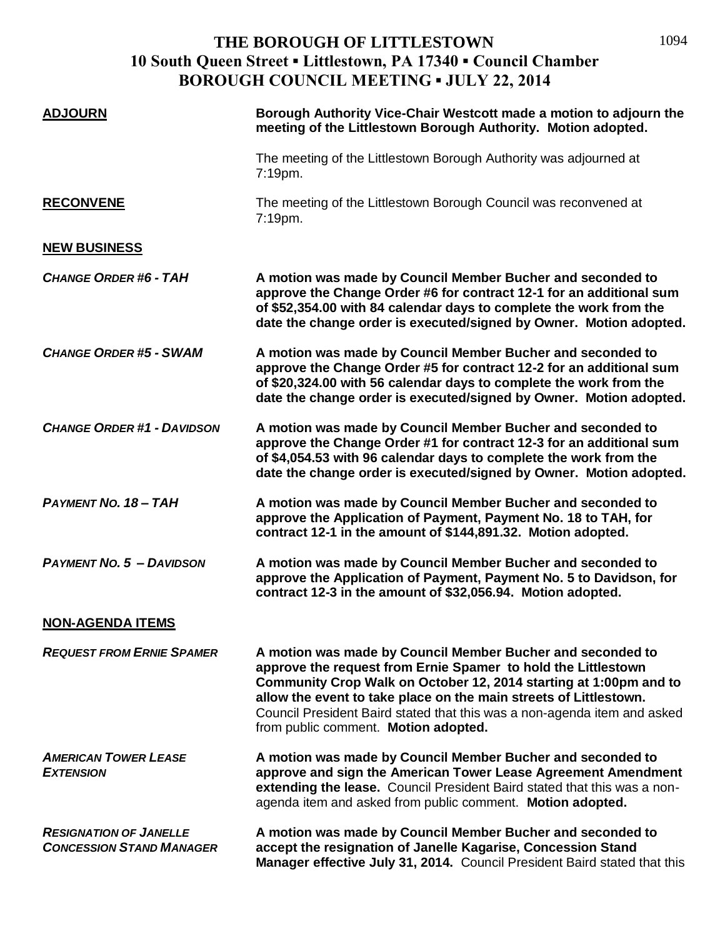| <b>ADJOURN</b>                                                   | Borough Authority Vice-Chair Westcott made a motion to adjourn the<br>meeting of the Littlestown Borough Authority. Motion adopted.                                                                                                                                                                                                                                                       |
|------------------------------------------------------------------|-------------------------------------------------------------------------------------------------------------------------------------------------------------------------------------------------------------------------------------------------------------------------------------------------------------------------------------------------------------------------------------------|
|                                                                  | The meeting of the Littlestown Borough Authority was adjourned at<br>7:19pm.                                                                                                                                                                                                                                                                                                              |
| <b>RECONVENE</b>                                                 | The meeting of the Littlestown Borough Council was reconvened at<br>7:19pm.                                                                                                                                                                                                                                                                                                               |
| <b>NEW BUSINESS</b>                                              |                                                                                                                                                                                                                                                                                                                                                                                           |
| <b>CHANGE ORDER #6 - TAH</b>                                     | A motion was made by Council Member Bucher and seconded to<br>approve the Change Order #6 for contract 12-1 for an additional sum<br>of \$52,354.00 with 84 calendar days to complete the work from the<br>date the change order is executed/signed by Owner. Motion adopted.                                                                                                             |
| <b>CHANGE ORDER #5 - SWAM</b>                                    | A motion was made by Council Member Bucher and seconded to<br>approve the Change Order #5 for contract 12-2 for an additional sum<br>of \$20,324.00 with 56 calendar days to complete the work from the<br>date the change order is executed/signed by Owner. Motion adopted.                                                                                                             |
| <b>CHANGE ORDER #1 - DAVIDSON</b>                                | A motion was made by Council Member Bucher and seconded to<br>approve the Change Order #1 for contract 12-3 for an additional sum<br>of \$4,054.53 with 96 calendar days to complete the work from the<br>date the change order is executed/signed by Owner. Motion adopted.                                                                                                              |
| <b>PAYMENT NO. 18 - TAH</b>                                      | A motion was made by Council Member Bucher and seconded to<br>approve the Application of Payment, Payment No. 18 to TAH, for<br>contract 12-1 in the amount of \$144,891.32. Motion adopted.                                                                                                                                                                                              |
| <b>PAYMENT NO. 5 - DAVIDSON</b>                                  | A motion was made by Council Member Bucher and seconded to<br>approve the Application of Payment, Payment No. 5 to Davidson, for<br>contract 12-3 in the amount of \$32,056.94. Motion adopted.                                                                                                                                                                                           |
| <b>NON-AGENDA ITEMS</b>                                          |                                                                                                                                                                                                                                                                                                                                                                                           |
| <b>REQUEST FROM ERNIE SPAMER</b>                                 | A motion was made by Council Member Bucher and seconded to<br>approve the request from Ernie Spamer to hold the Littlestown<br>Community Crop Walk on October 12, 2014 starting at 1:00pm and to<br>allow the event to take place on the main streets of Littlestown.<br>Council President Baird stated that this was a non-agenda item and asked<br>from public comment. Motion adopted. |
| <b>AMERICAN TOWER LEASE</b><br><b>EXTENSION</b>                  | A motion was made by Council Member Bucher and seconded to<br>approve and sign the American Tower Lease Agreement Amendment<br>extending the lease. Council President Baird stated that this was a non-<br>agenda item and asked from public comment. Motion adopted.                                                                                                                     |
| <b>RESIGNATION OF JANELLE</b><br><b>CONCESSION STAND MANAGER</b> | A motion was made by Council Member Bucher and seconded to<br>accept the resignation of Janelle Kagarise, Concession Stand<br>Manager effective July 31, 2014. Council President Baird stated that this                                                                                                                                                                                   |